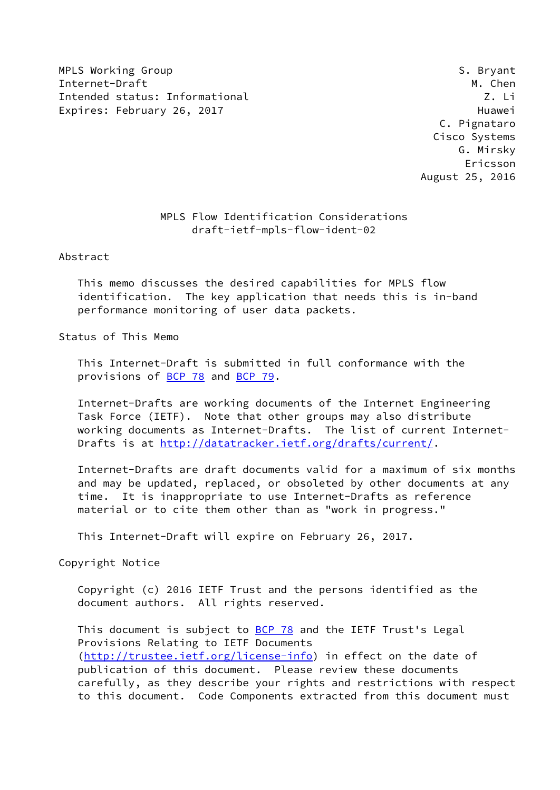MPLS Working Group **S. Bryant** S. Bryant Internet-Draft M. Chen Intended status: Informational Z. Li Expires: February 26, 2017 and the contract of the Huawei

 C. Pignataro Cisco Systems G. Mirsky Ericsson August 25, 2016

## MPLS Flow Identification Considerations draft-ietf-mpls-flow-ident-02

Abstract

 This memo discusses the desired capabilities for MPLS flow identification. The key application that needs this is in-band performance monitoring of user data packets.

Status of This Memo

 This Internet-Draft is submitted in full conformance with the provisions of **BCP 78** and **BCP 79**.

 Internet-Drafts are working documents of the Internet Engineering Task Force (IETF). Note that other groups may also distribute working documents as Internet-Drafts. The list of current Internet Drafts is at<http://datatracker.ietf.org/drafts/current/>.

 Internet-Drafts are draft documents valid for a maximum of six months and may be updated, replaced, or obsoleted by other documents at any time. It is inappropriate to use Internet-Drafts as reference material or to cite them other than as "work in progress."

This Internet-Draft will expire on February 26, 2017.

Copyright Notice

 Copyright (c) 2016 IETF Trust and the persons identified as the document authors. All rights reserved.

This document is subject to **[BCP 78](https://datatracker.ietf.org/doc/pdf/bcp78)** and the IETF Trust's Legal Provisions Relating to IETF Documents [\(http://trustee.ietf.org/license-info](http://trustee.ietf.org/license-info)) in effect on the date of publication of this document. Please review these documents carefully, as they describe your rights and restrictions with respect to this document. Code Components extracted from this document must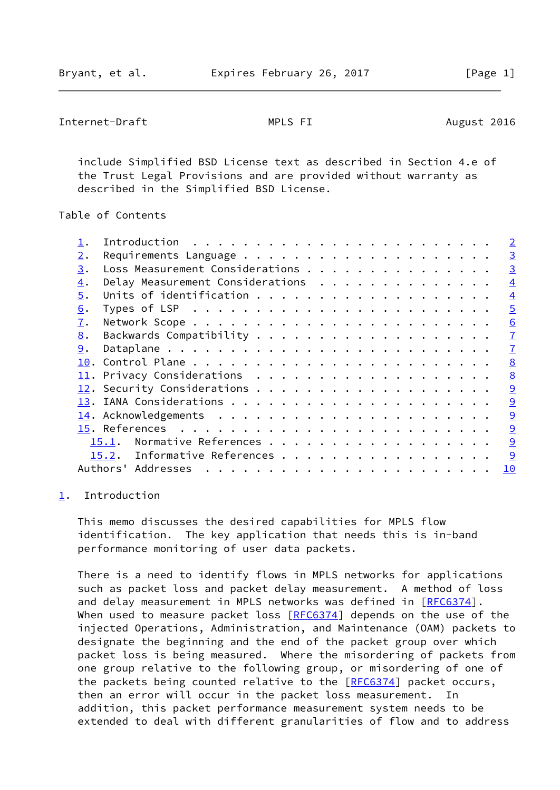```
Internet-Draft MPLS FI August 2016
```
 include Simplified BSD License text as described in Section 4.e of the Trust Legal Provisions and are provided without warranty as described in the Simplified BSD License.

Table of Contents

|                  |                                  |  |  |  |  |  |  |  |  | $\overline{2}$ |
|------------------|----------------------------------|--|--|--|--|--|--|--|--|----------------|
| 2.               |                                  |  |  |  |  |  |  |  |  | $\overline{3}$ |
| 3.               | Loss Measurement Considerations  |  |  |  |  |  |  |  |  | $\overline{3}$ |
| $\overline{4}$ . | Delay Measurement Considerations |  |  |  |  |  |  |  |  | $\overline{4}$ |
| 5.               |                                  |  |  |  |  |  |  |  |  | $\overline{4}$ |
| 6.               |                                  |  |  |  |  |  |  |  |  | $\overline{5}$ |
| 7.               |                                  |  |  |  |  |  |  |  |  | 6              |
| 8.               |                                  |  |  |  |  |  |  |  |  | $\mathbf{I}$   |
| 9.               |                                  |  |  |  |  |  |  |  |  | $\overline{1}$ |
|                  |                                  |  |  |  |  |  |  |  |  | 8              |
|                  |                                  |  |  |  |  |  |  |  |  | 8              |
|                  |                                  |  |  |  |  |  |  |  |  | 9              |
|                  |                                  |  |  |  |  |  |  |  |  | 9              |
|                  |                                  |  |  |  |  |  |  |  |  | 9              |
|                  |                                  |  |  |  |  |  |  |  |  | 9              |
|                  | Normative References<br>15.1.    |  |  |  |  |  |  |  |  | 9              |
|                  | 15.2. Informative References     |  |  |  |  |  |  |  |  | 9              |
|                  | Authors' Addresses               |  |  |  |  |  |  |  |  | 10             |
|                  |                                  |  |  |  |  |  |  |  |  |                |

### <span id="page-1-0"></span>[1](#page-1-0). Introduction

 This memo discusses the desired capabilities for MPLS flow identification. The key application that needs this is in-band performance monitoring of user data packets.

 There is a need to identify flows in MPLS networks for applications such as packet loss and packet delay measurement. A method of loss and delay measurement in MPLS networks was defined in [[RFC6374](https://datatracker.ietf.org/doc/pdf/rfc6374)]. When used to measure packet loss [\[RFC6374](https://datatracker.ietf.org/doc/pdf/rfc6374)] depends on the use of the injected Operations, Administration, and Maintenance (OAM) packets to designate the beginning and the end of the packet group over which packet loss is being measured. Where the misordering of packets from one group relative to the following group, or misordering of one of the packets being counted relative to the [[RFC6374](https://datatracker.ietf.org/doc/pdf/rfc6374)] packet occurs, then an error will occur in the packet loss measurement. In addition, this packet performance measurement system needs to be extended to deal with different granularities of flow and to address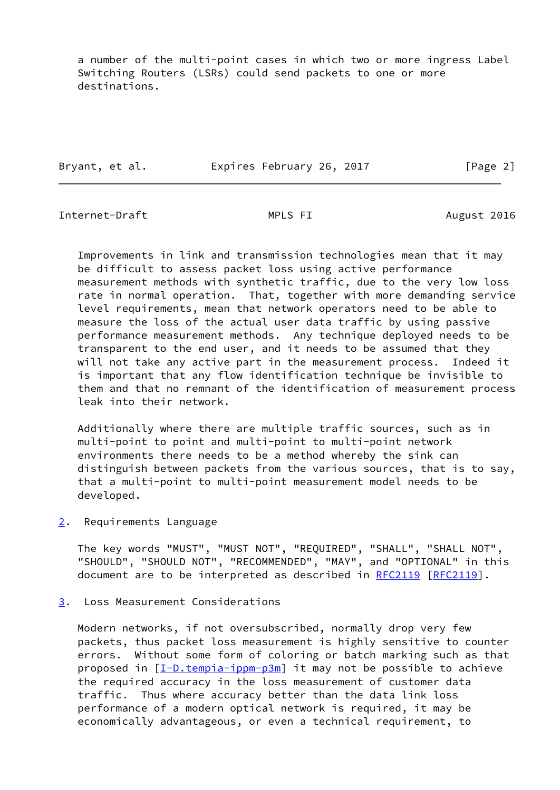a number of the multi-point cases in which two or more ingress Label Switching Routers (LSRs) could send packets to one or more destinations.

| Expires February 26, 2017 | Bryant, et al. |  |  |  |  |  | [Page 2] |  |
|---------------------------|----------------|--|--|--|--|--|----------|--|
|---------------------------|----------------|--|--|--|--|--|----------|--|

<span id="page-2-1"></span>Internet-Draft MPLS FI August 2016

 Improvements in link and transmission technologies mean that it may be difficult to assess packet loss using active performance measurement methods with synthetic traffic, due to the very low loss rate in normal operation. That, together with more demanding service level requirements, mean that network operators need to be able to measure the loss of the actual user data traffic by using passive performance measurement methods. Any technique deployed needs to be transparent to the end user, and it needs to be assumed that they will not take any active part in the measurement process. Indeed it is important that any flow identification technique be invisible to them and that no remnant of the identification of measurement process leak into their network.

 Additionally where there are multiple traffic sources, such as in multi-point to point and multi-point to multi-point network environments there needs to be a method whereby the sink can distinguish between packets from the various sources, that is to say, that a multi-point to multi-point measurement model needs to be developed.

<span id="page-2-0"></span>[2](#page-2-0). Requirements Language

 The key words "MUST", "MUST NOT", "REQUIRED", "SHALL", "SHALL NOT", "SHOULD", "SHOULD NOT", "RECOMMENDED", "MAY", and "OPTIONAL" in this document are to be interpreted as described in [RFC2119](https://datatracker.ietf.org/doc/pdf/rfc2119) [\[RFC2119](https://datatracker.ietf.org/doc/pdf/rfc2119)].

<span id="page-2-2"></span>[3](#page-2-2). Loss Measurement Considerations

 Modern networks, if not oversubscribed, normally drop very few packets, thus packet loss measurement is highly sensitive to counter errors. Without some form of coloring or batch marking such as that proposed in [\[I-D.tempia-ippm-p3m](#page-9-7)] it may not be possible to achieve the required accuracy in the loss measurement of customer data traffic. Thus where accuracy better than the data link loss performance of a modern optical network is required, it may be economically advantageous, or even a technical requirement, to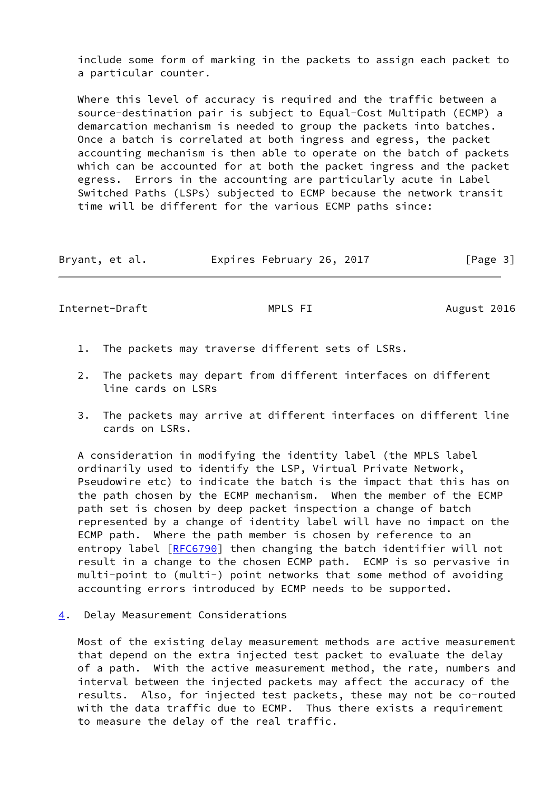include some form of marking in the packets to assign each packet to a particular counter.

 Where this level of accuracy is required and the traffic between a source-destination pair is subject to Equal-Cost Multipath (ECMP) a demarcation mechanism is needed to group the packets into batches. Once a batch is correlated at both ingress and egress, the packet accounting mechanism is then able to operate on the batch of packets which can be accounted for at both the packet ingress and the packet egress. Errors in the accounting are particularly acute in Label Switched Paths (LSPs) subjected to ECMP because the network transit time will be different for the various ECMP paths since:

| Expires February 26, 2017<br>Bryant, et al. | [Page 3] |
|---------------------------------------------|----------|
|---------------------------------------------|----------|

<span id="page-3-1"></span>Internet-Draft MPLS FI August 2016

- 1. The packets may traverse different sets of LSRs.
- 2. The packets may depart from different interfaces on different line cards on LSRs
- 3. The packets may arrive at different interfaces on different line cards on LSRs.

 A consideration in modifying the identity label (the MPLS label ordinarily used to identify the LSP, Virtual Private Network, Pseudowire etc) to indicate the batch is the impact that this has on the path chosen by the ECMP mechanism. When the member of the ECMP path set is chosen by deep packet inspection a change of batch represented by a change of identity label will have no impact on the ECMP path. Where the path member is chosen by reference to an entropy label [[RFC6790](https://datatracker.ietf.org/doc/pdf/rfc6790)] then changing the batch identifier will not result in a change to the chosen ECMP path. ECMP is so pervasive in multi-point to (multi-) point networks that some method of avoiding accounting errors introduced by ECMP needs to be supported.

<span id="page-3-0"></span>[4](#page-3-0). Delay Measurement Considerations

 Most of the existing delay measurement methods are active measurement that depend on the extra injected test packet to evaluate the delay of a path. With the active measurement method, the rate, numbers and interval between the injected packets may affect the accuracy of the results. Also, for injected test packets, these may not be co-routed with the data traffic due to ECMP. Thus there exists a requirement to measure the delay of the real traffic.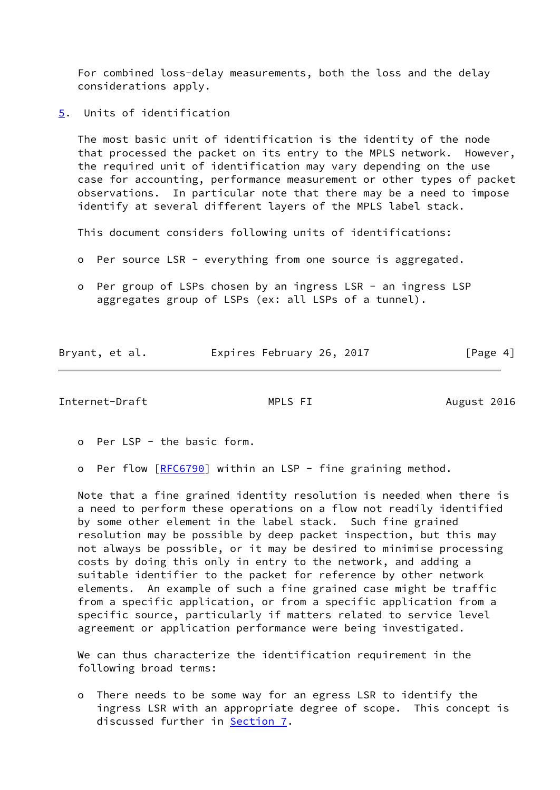For combined loss-delay measurements, both the loss and the delay considerations apply.

<span id="page-4-0"></span>[5](#page-4-0). Units of identification

 The most basic unit of identification is the identity of the node that processed the packet on its entry to the MPLS network. However, the required unit of identification may vary depending on the use case for accounting, performance measurement or other types of packet observations. In particular note that there may be a need to impose identify at several different layers of the MPLS label stack.

This document considers following units of identifications:

- o Per source LSR everything from one source is aggregated.
- o Per group of LSPs chosen by an ingress LSR an ingress LSP aggregates group of LSPs (ex: all LSPs of a tunnel).

|                | Expires February 26, 2017 |          |
|----------------|---------------------------|----------|
| Bryant, et al. |                           | [Page 4] |

<span id="page-4-1"></span>Internet-Draft MPLS FI August 2016

o Per LSP - the basic form.

o Per flow [\[RFC6790](https://datatracker.ietf.org/doc/pdf/rfc6790)] within an LSP - fine graining method.

 Note that a fine grained identity resolution is needed when there is a need to perform these operations on a flow not readily identified by some other element in the label stack. Such fine grained resolution may be possible by deep packet inspection, but this may not always be possible, or it may be desired to minimise processing costs by doing this only in entry to the network, and adding a suitable identifier to the packet for reference by other network elements. An example of such a fine grained case might be traffic from a specific application, or from a specific application from a specific source, particularly if matters related to service level agreement or application performance were being investigated.

 We can thus characterize the identification requirement in the following broad terms:

 o There needs to be some way for an egress LSR to identify the ingress LSR with an appropriate degree of scope. This concept is discussed further in **Section 7.**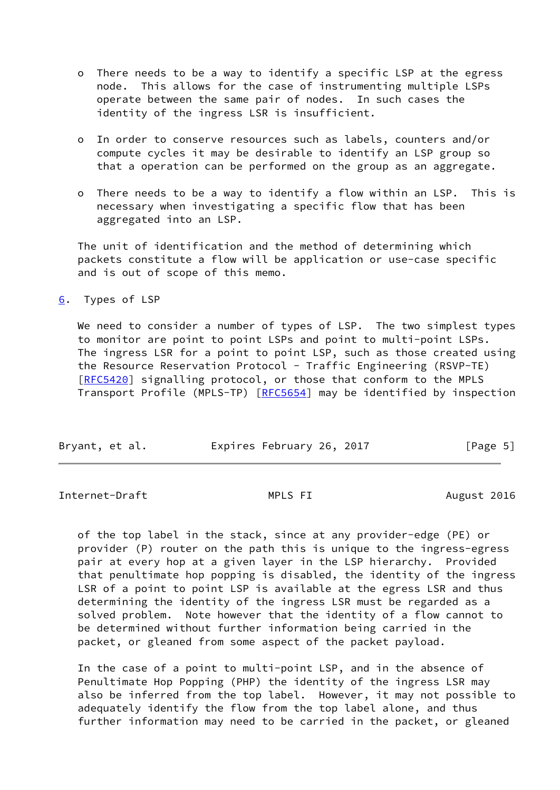- o There needs to be a way to identify a specific LSP at the egress node. This allows for the case of instrumenting multiple LSPs operate between the same pair of nodes. In such cases the identity of the ingress LSR is insufficient.
- o In order to conserve resources such as labels, counters and/or compute cycles it may be desirable to identify an LSP group so that a operation can be performed on the group as an aggregate.
- o There needs to be a way to identify a flow within an LSP. This is necessary when investigating a specific flow that has been aggregated into an LSP.

 The unit of identification and the method of determining which packets constitute a flow will be application or use-case specific and is out of scope of this memo.

<span id="page-5-0"></span>[6](#page-5-0). Types of LSP

We need to consider a number of types of LSP. The two simplest types to monitor are point to point LSPs and point to multi-point LSPs. The ingress LSR for a point to point LSP, such as those created using the Resource Reservation Protocol - Traffic Engineering (RSVP-TE) [\[RFC5420](https://datatracker.ietf.org/doc/pdf/rfc5420)] signalling protocol, or those that conform to the MPLS Transport Profile (MPLS-TP) [\[RFC5654](https://datatracker.ietf.org/doc/pdf/rfc5654)] may be identified by inspection

| Bryant, et al. | Expires February 26, 2017 | [Page 5] |
|----------------|---------------------------|----------|
|                |                           |          |

<span id="page-5-1"></span>Internet-Draft MPLS FI August 2016

 of the top label in the stack, since at any provider-edge (PE) or provider (P) router on the path this is unique to the ingress-egress pair at every hop at a given layer in the LSP hierarchy. Provided that penultimate hop popping is disabled, the identity of the ingress LSR of a point to point LSP is available at the egress LSR and thus determining the identity of the ingress LSR must be regarded as a solved problem. Note however that the identity of a flow cannot to be determined without further information being carried in the packet, or gleaned from some aspect of the packet payload.

 In the case of a point to multi-point LSP, and in the absence of Penultimate Hop Popping (PHP) the identity of the ingress LSR may also be inferred from the top label. However, it may not possible to adequately identify the flow from the top label alone, and thus further information may need to be carried in the packet, or gleaned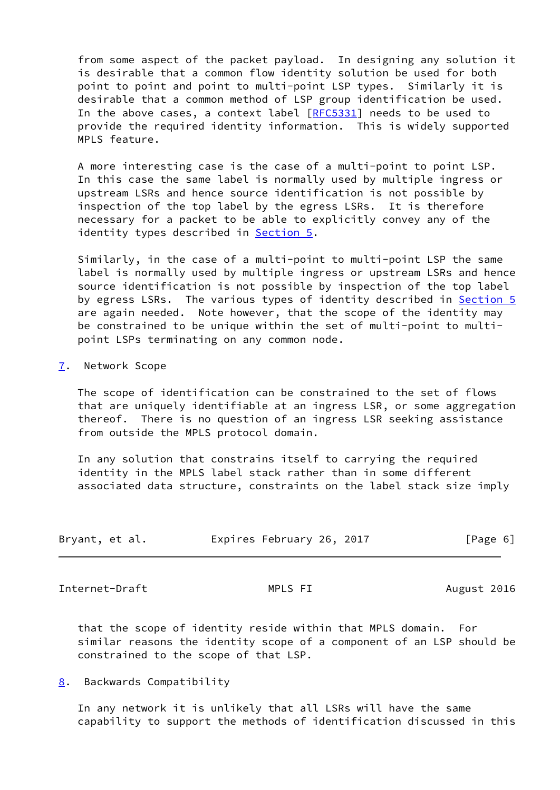from some aspect of the packet payload. In designing any solution it is desirable that a common flow identity solution be used for both point to point and point to multi-point LSP types. Similarly it is desirable that a common method of LSP group identification be used. In the above cases, a context label [\[RFC5331](https://datatracker.ietf.org/doc/pdf/rfc5331)] needs to be used to provide the required identity information. This is widely supported MPLS feature.

 A more interesting case is the case of a multi-point to point LSP. In this case the same label is normally used by multiple ingress or upstream LSRs and hence source identification is not possible by inspection of the top label by the egress LSRs. It is therefore necessary for a packet to be able to explicitly convey any of the identity types described in **[Section 5.](#page-4-0)** 

 Similarly, in the case of a multi-point to multi-point LSP the same label is normally used by multiple ingress or upstream LSRs and hence source identification is not possible by inspection of the top label by egress LSRs. The various types of identity described in [Section 5](#page-4-0) are again needed. Note however, that the scope of the identity may be constrained to be unique within the set of multi-point to multi point LSPs terminating on any common node.

### <span id="page-6-0"></span>[7](#page-6-0). Network Scope

 The scope of identification can be constrained to the set of flows that are uniquely identifiable at an ingress LSR, or some aggregation thereof. There is no question of an ingress LSR seeking assistance from outside the MPLS protocol domain.

 In any solution that constrains itself to carrying the required identity in the MPLS label stack rather than in some different associated data structure, constraints on the label stack size imply

| Bryant, et al. | Expires February 26, 2017 | [Page 6] |
|----------------|---------------------------|----------|
|                |                           |          |

<span id="page-6-2"></span>Internet-Draft MPLS FI August 2016

 that the scope of identity reside within that MPLS domain. For similar reasons the identity scope of a component of an LSP should be constrained to the scope of that LSP.

<span id="page-6-1"></span>[8](#page-6-1). Backwards Compatibility

 In any network it is unlikely that all LSRs will have the same capability to support the methods of identification discussed in this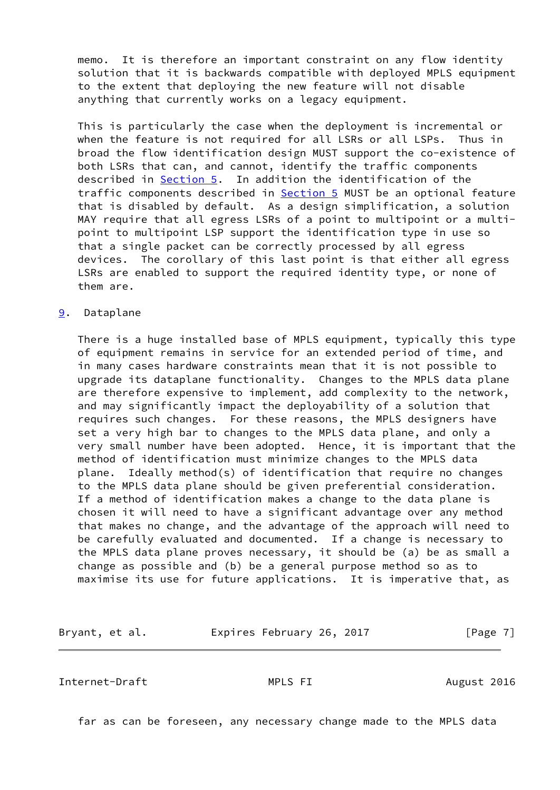memo. It is therefore an important constraint on any flow identity solution that it is backwards compatible with deployed MPLS equipment to the extent that deploying the new feature will not disable anything that currently works on a legacy equipment.

 This is particularly the case when the deployment is incremental or when the feature is not required for all LSRs or all LSPs. Thus in broad the flow identification design MUST support the co-existence of both LSRs that can, and cannot, identify the traffic components described in [Section 5](#page-4-0). In addition the identification of the traffic components described in **Section 5** MUST be an optional feature that is disabled by default. As a design simplification, a solution MAY require that all egress LSRs of a point to multipoint or a multi point to multipoint LSP support the identification type in use so that a single packet can be correctly processed by all egress devices. The corollary of this last point is that either all egress LSRs are enabled to support the required identity type, or none of them are.

#### <span id="page-7-0"></span>[9](#page-7-0). Dataplane

 There is a huge installed base of MPLS equipment, typically this type of equipment remains in service for an extended period of time, and in many cases hardware constraints mean that it is not possible to upgrade its dataplane functionality. Changes to the MPLS data plane are therefore expensive to implement, add complexity to the network, and may significantly impact the deployability of a solution that requires such changes. For these reasons, the MPLS designers have set a very high bar to changes to the MPLS data plane, and only a very small number have been adopted. Hence, it is important that the method of identification must minimize changes to the MPLS data plane. Ideally method(s) of identification that require no changes to the MPLS data plane should be given preferential consideration. If a method of identification makes a change to the data plane is chosen it will need to have a significant advantage over any method that makes no change, and the advantage of the approach will need to be carefully evaluated and documented. If a change is necessary to the MPLS data plane proves necessary, it should be (a) be as small a change as possible and (b) be a general purpose method so as to maximise its use for future applications. It is imperative that, as

Bryant, et al. Expires February 26, 2017 [Page 7]

<span id="page-7-1"></span>Internet-Draft MPLS FI August 2016

far as can be foreseen, any necessary change made to the MPLS data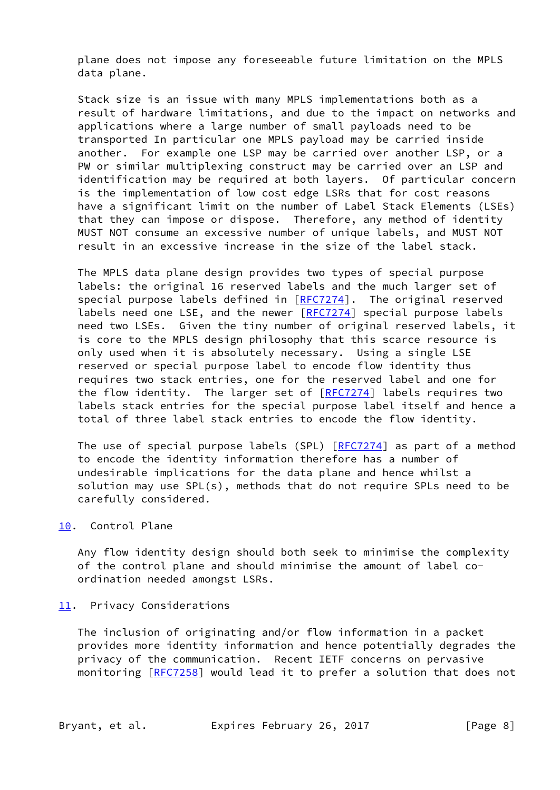plane does not impose any foreseeable future limitation on the MPLS data plane.

 Stack size is an issue with many MPLS implementations both as a result of hardware limitations, and due to the impact on networks and applications where a large number of small payloads need to be transported In particular one MPLS payload may be carried inside another. For example one LSP may be carried over another LSP, or a PW or similar multiplexing construct may be carried over an LSP and identification may be required at both layers. Of particular concern is the implementation of low cost edge LSRs that for cost reasons have a significant limit on the number of Label Stack Elements (LSEs) that they can impose or dispose. Therefore, any method of identity MUST NOT consume an excessive number of unique labels, and MUST NOT result in an excessive increase in the size of the label stack.

 The MPLS data plane design provides two types of special purpose labels: the original 16 reserved labels and the much larger set of special purpose labels defined in [[RFC7274](https://datatracker.ietf.org/doc/pdf/rfc7274)]. The original reserved labels need one LSE, and the newer [[RFC7274\]](https://datatracker.ietf.org/doc/pdf/rfc7274) special purpose labels need two LSEs. Given the tiny number of original reserved labels, it is core to the MPLS design philosophy that this scarce resource is only used when it is absolutely necessary. Using a single LSE reserved or special purpose label to encode flow identity thus requires two stack entries, one for the reserved label and one for the flow identity. The larger set of [[RFC7274](https://datatracker.ietf.org/doc/pdf/rfc7274)] labels requires two labels stack entries for the special purpose label itself and hence a total of three label stack entries to encode the flow identity.

The use of special purpose labels (SPL) [\[RFC7274](https://datatracker.ietf.org/doc/pdf/rfc7274)] as part of a method to encode the identity information therefore has a number of undesirable implications for the data plane and hence whilst a solution may use SPL(s), methods that do not require SPLs need to be carefully considered.

### <span id="page-8-0"></span>[10.](#page-8-0) Control Plane

 Any flow identity design should both seek to minimise the complexity of the control plane and should minimise the amount of label co ordination needed amongst LSRs.

#### <span id="page-8-1"></span>[11.](#page-8-1) Privacy Considerations

 The inclusion of originating and/or flow information in a packet provides more identity information and hence potentially degrades the privacy of the communication. Recent IETF concerns on pervasive monitoring [[RFC7258\]](https://datatracker.ietf.org/doc/pdf/rfc7258) would lead it to prefer a solution that does not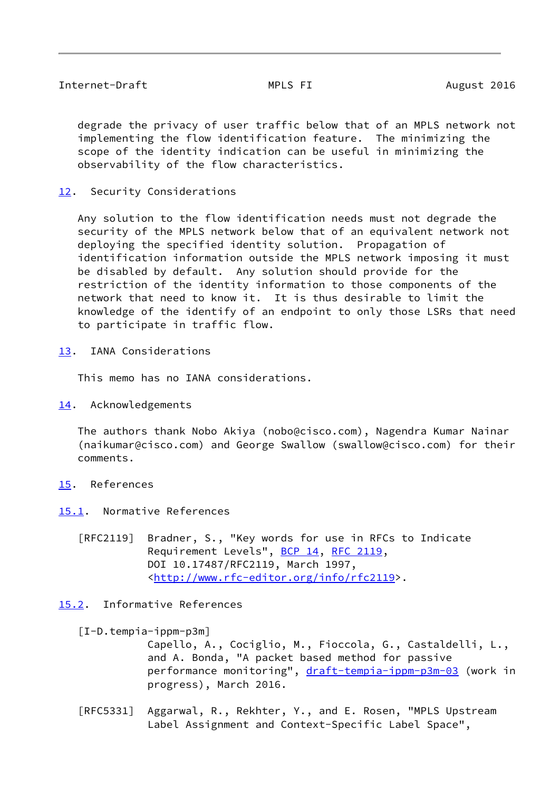<span id="page-9-1"></span> degrade the privacy of user traffic below that of an MPLS network not implementing the flow identification feature. The minimizing the scope of the identity indication can be useful in minimizing the observability of the flow characteristics.

<span id="page-9-0"></span>[12.](#page-9-0) Security Considerations

 Any solution to the flow identification needs must not degrade the security of the MPLS network below that of an equivalent network not deploying the specified identity solution. Propagation of identification information outside the MPLS network imposing it must be disabled by default. Any solution should provide for the restriction of the identity information to those components of the network that need to know it. It is thus desirable to limit the knowledge of the identify of an endpoint to only those LSRs that need to participate in traffic flow.

<span id="page-9-2"></span>[13.](#page-9-2) IANA Considerations

This memo has no IANA considerations.

<span id="page-9-3"></span>[14.](#page-9-3) Acknowledgements

 The authors thank Nobo Akiya (nobo@cisco.com), Nagendra Kumar Nainar (naikumar@cisco.com) and George Swallow (swallow@cisco.com) for their comments.

- <span id="page-9-4"></span>[15.](#page-9-4) References
- <span id="page-9-5"></span>[15.1](#page-9-5). Normative References
	- [RFC2119] Bradner, S., "Key words for use in RFCs to Indicate Requirement Levels", [BCP 14](https://datatracker.ietf.org/doc/pdf/bcp14), [RFC 2119](https://datatracker.ietf.org/doc/pdf/rfc2119), DOI 10.17487/RFC2119, March 1997, <<http://www.rfc-editor.org/info/rfc2119>>.

# <span id="page-9-6"></span>[15.2](#page-9-6). Informative References

<span id="page-9-7"></span>[I-D.tempia-ippm-p3m]

 Capello, A., Cociglio, M., Fioccola, G., Castaldelli, L., and A. Bonda, "A packet based method for passive performance monitoring", [draft-tempia-ippm-p3m-03](https://datatracker.ietf.org/doc/pdf/draft-tempia-ippm-p3m-03) (work in progress), March 2016.

 [RFC5331] Aggarwal, R., Rekhter, Y., and E. Rosen, "MPLS Upstream Label Assignment and Context-Specific Label Space",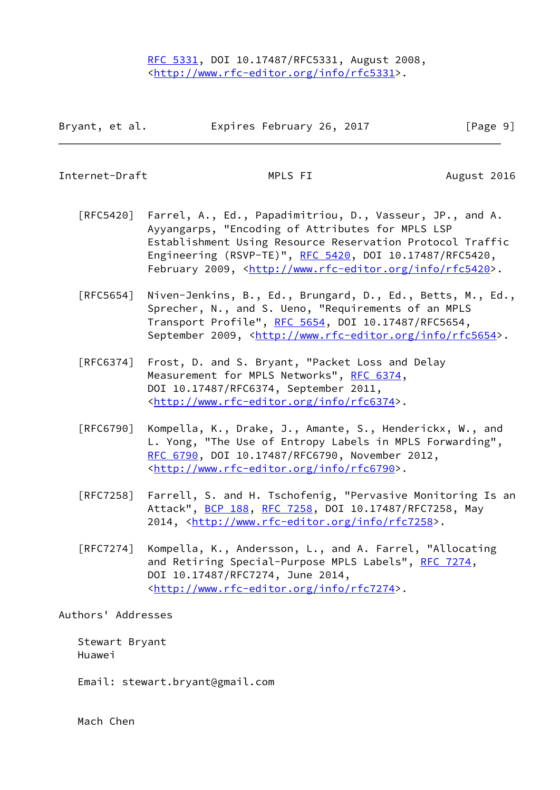| Bryant, et al. | Expires February 26, 2017 | [Page 9] |
|----------------|---------------------------|----------|
|----------------|---------------------------|----------|

<span id="page-10-0"></span>Internet-Draft MPLS FI August 2016

- [RFC5420] Farrel, A., Ed., Papadimitriou, D., Vasseur, JP., and A. Ayyangarps, "Encoding of Attributes for MPLS LSP Establishment Using Resource Reservation Protocol Traffic Engineering (RSVP-TE)", [RFC 5420,](https://datatracker.ietf.org/doc/pdf/rfc5420) DOI 10.17487/RFC5420, February 2009, <<http://www.rfc-editor.org/info/rfc5420>>.
- [RFC5654] Niven-Jenkins, B., Ed., Brungard, D., Ed., Betts, M., Ed., Sprecher, N., and S. Ueno, "Requirements of an MPLS Transport Profile", [RFC 5654,](https://datatracker.ietf.org/doc/pdf/rfc5654) DOI 10.17487/RFC5654, September 2009, <<http://www.rfc-editor.org/info/rfc5654>>.
- [RFC6374] Frost, D. and S. Bryant, "Packet Loss and Delay Measurement for MPLS Networks", [RFC 6374,](https://datatracker.ietf.org/doc/pdf/rfc6374) DOI 10.17487/RFC6374, September 2011, <<http://www.rfc-editor.org/info/rfc6374>>.
- [RFC6790] Kompella, K., Drake, J., Amante, S., Henderickx, W., and L. Yong, "The Use of Entropy Labels in MPLS Forwarding", [RFC 6790,](https://datatracker.ietf.org/doc/pdf/rfc6790) DOI 10.17487/RFC6790, November 2012, <<http://www.rfc-editor.org/info/rfc6790>>.
- [RFC7258] Farrell, S. and H. Tschofenig, "Pervasive Monitoring Is an Attack", [BCP 188,](https://datatracker.ietf.org/doc/pdf/bcp188) [RFC 7258](https://datatracker.ietf.org/doc/pdf/rfc7258), DOI 10.17487/RFC7258, May 2014, [<http://www.rfc-editor.org/info/rfc7258](http://www.rfc-editor.org/info/rfc7258)>.
- [RFC7274] Kompella, K., Andersson, L., and A. Farrel, "Allocating and Retiring Special-Purpose MPLS Labels", [RFC 7274](https://datatracker.ietf.org/doc/pdf/rfc7274), DOI 10.17487/RFC7274, June 2014, <<http://www.rfc-editor.org/info/rfc7274>>.

## Authors' Addresses

 Stewart Bryant Huawei

Email: stewart.bryant@gmail.com

Mach Chen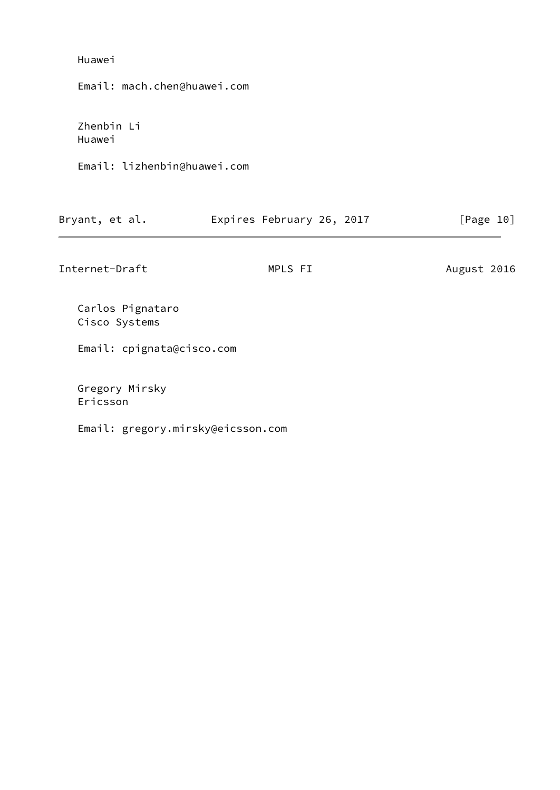## Huawei

Email: mach.chen@huawei.com

 Zhenbin Li Huawei

Email: lizhenbin@huawei.com

| Bryant, et al. | Expires February 26, 2017 | [Page 10] |
|----------------|---------------------------|-----------|
|----------------|---------------------------|-----------|

Internet-Draft MPLS FI August 2016

 Carlos Pignataro Cisco Systems

Email: cpignata@cisco.com

 Gregory Mirsky Ericsson

Email: gregory.mirsky@eicsson.com